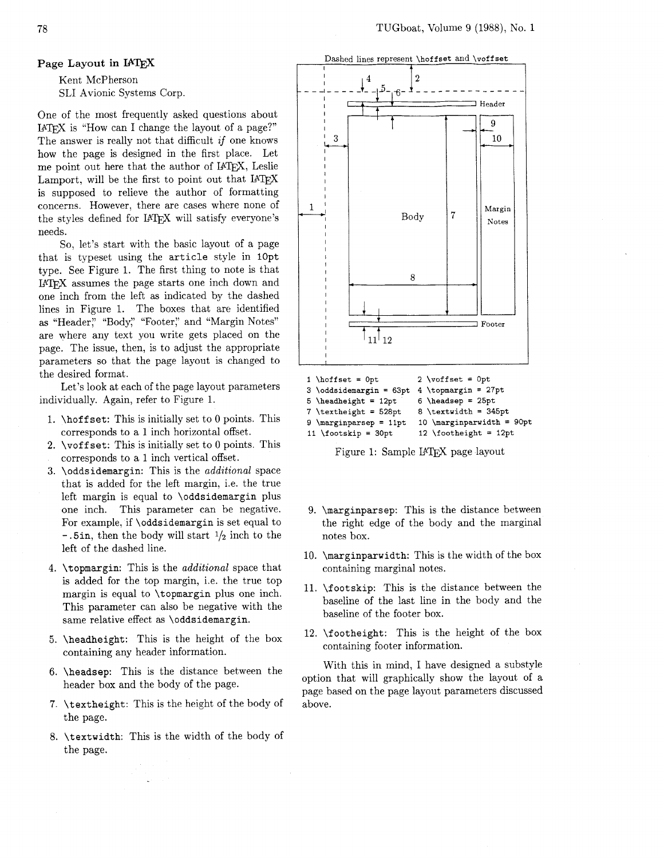*/5-,%-* - - - - - - - - - - - - - -.

Header

## **Page Layout** in

Kent McPherson SLI Avionic Systems Corp.

One of the most frequently asked questions about I4W is "How can I change the layout of a page?" The answer is really not that difficult *if* one knows how the page is designed in the first place. Let me point out here that the author of IATFX, Leslie Lamport, will be the first to point out that I4TEX is supposed to relieve the author of formatting concerns. However, there are cases where none of the styles defined for IATFX will satisfy everyone's needs.

So, let's start with the basic layout of a page that is typeset using the **article** style in **10pt**  type. See Figure 1. The first thing to note is that IATEX assumes the page starts one inch down and one inch from the left **as** indicated by the dashed lines in Figure 1. The boxes that are identified as "Header," "Body," "Footer," and "Margin Notes" are where any text you write gets placed on the page. The issue, then, is to adjust the appropriate parameters so that the page layout is changed to the desired format.

Let's look at each of the page layout parameters individually. Again, refer to Figure 1.

- 1. **\hoff set:** This is initially set to 0 points. This corresponds to a 1 inch horizontal offset.
- **2. \voff set:** This is initially set to 0 points. This corresponds to a 1 inch vertical offset.
- **3. \oddsidemargin:** This is the *additional* space that is added for the left margin, i.e. the true left margin is equal to **\oddsidemargin** plus one inch. This parameter can be negative. For example, if **\oddsidemargin** is set equal to  $- .5$ in, then the body will start  $\frac{1}{2}$  inch to the left of the dashed line.
- **4. \topmargin:** This is the *additional* space that is added for the top margin, i.e. the true top margin is equal to **\topmargin** plus one inch. This parameter can also be negative with the same relative effect as **\oddsidemargin.**
- **5. \headheight:** This is the height of the box containing any header information.
- **6. \headsep:** This is the distance between the header box and the body of the page.
- **7. \textheight:** This is the height of the body of the page.
- **8. \textwidth:** This is the width of the body of the page.



Dashed lines represent **\hof f set** and **\vof f set** 

**2** 

I

**3 \oddsidemargin** = **63pt 4 \topmargin** = **27pt**  \textheight = 528pt 8 \textwidth =  $345pt$ 10 \marginparwidth = 90pt 9  $\mbox{marginparsep} = 11pt$ 

11 \footskip = 30pt  $12 \to 12$  \footheight = 12pt<br>Figure 1: Sample IATRX page layout

- 9. **\marginparsep:** This is the distance between the right edge of the body and the marginal notes box.
- 10. **\marginparwidth:** This is the width of the box containing marginal notes.
- 11. **\footskip:** This is the distance between the baseline of the last line in the body and the baseline of the footer box.
- 12. **\footheight:** This is the height of the box containing footer information.

With this in mind, I have designed a substyle option that will graphically show the layout of a page based on the page layout parameters discussed above.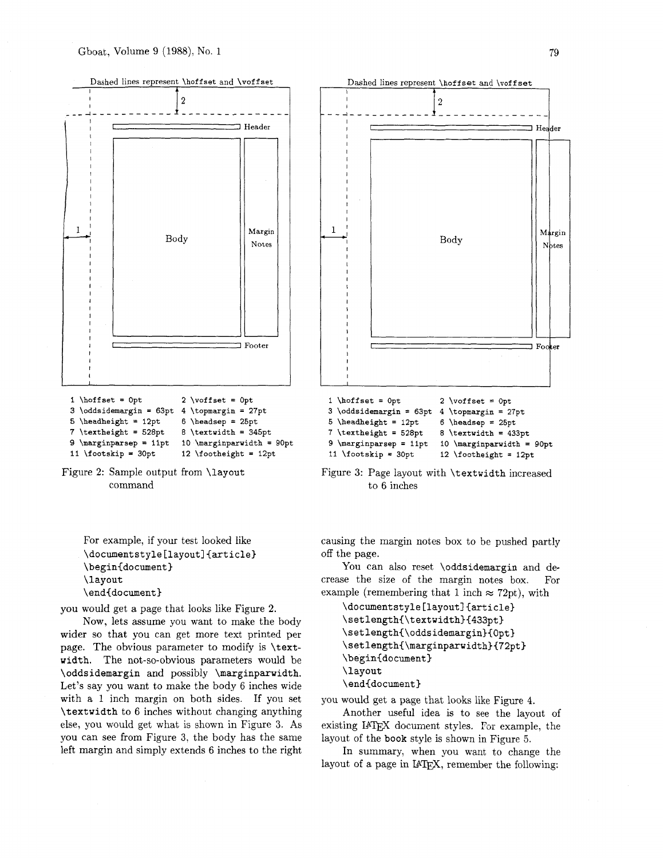



For example, if your test looked like **\documentstyle [layout] {article) \begin<document) \layout \end{document)** 

you would get a page that looks like Figure 2.

Now, lets assume you want to make the body wider so that you can get more text printed per page. The obvious parameter to modify is **\textwidth.** The not-so-obvious parameters would be **\oddsidemargin** and possibly **\marginparwidth.**  Let's say you want to make the body 6 inches wide with a 1 inch margin on both sides. If you set **\textwidth** to 6 inches without changing anything else, you would get what is shown in Figure 3. As you can see from Figure 3, the body has the same left margin and simply extends 6 inches to the right



Figure **3:** Page layout with **\textwidth** increased to 6 inches

causing the margin notes box to be pushed partly off the page.

You can also reset **\oddsidemargin** and decrease the size of the margin notes box. For example (remembering that 1 inch  $\approx$  72pt), with

```
\documentstyle [layout] {article) 
\setlength{\textwidth3{433pt) 
\setlength(\oddsidemargin)(Qpt) 
\setlength{\marginparwidth}{72pt}
\begin{document) 
\layout 
\end(document)
```
you would get a page that looks like Figure 4.

Another useful idea is to see the layout of existing IATEX document styles. For example, the layout of the **book** style is shown in Figure *5.* 

In summary, when you want to change the layout of a page in IATFX, remember the following: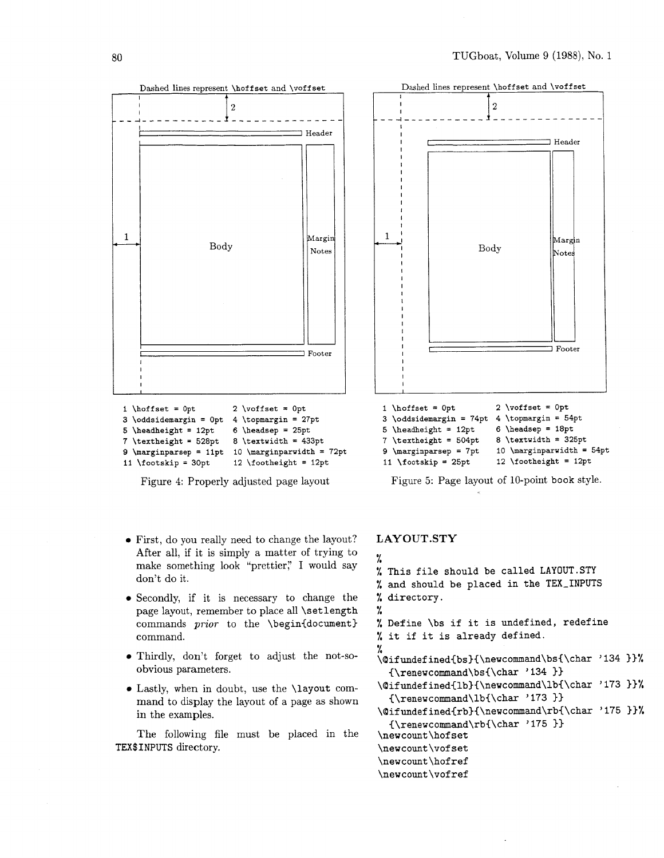

```
9 \marginparsep = 11pt 10 \marginparwidth = 72pt
11 \footskip = 30pt 12 \footheight = 12pt
```
Figure 4: Properly adjusted page layout

- First, do you really need to change the layout? After all, if it is simply a matter of trying to make something look "prettier," I would say don't do it.
- Secondly, if it is necessary to change the page layout, remember to place all \setlength commands *prior* to the *\begin{document}* command.
- Thirdly, don't forget to adjust the not-soobvious parameters.
- Lastly, when in doubt, use the \layout command to display the layout of a page as shown in the examples.

The following file must be placed in the TEX\$INPUTS directory.



| 3 \oddsidemargin = 74pt           | 4 \topmargin = $54pt$       |
|-----------------------------------|-----------------------------|
| 5 \headheight = $12pt$            | $6$ \headsep = 18pt         |
| 7 \textheight = 504pt             | 8 \textwidth = $325pt$      |
| $9 \ \mathtt{marginparsep} = 7pt$ | 10 \marginparwidth = $54pt$ |
| 11 \footskip = $25pt$             | 12 \footheight = $12pt$     |
|                                   |                             |

Figure 5: Page layout of 10-point book style.

## **LAYOUT.STY**

```
% 
% This file should be called LAYOUT.STY 
% and should be placed in the TEX-INPUTS 
% directory. 
% 
% Define \bs if it is undefined, redefine 
% it if it is already defined. 
% 
\@ifundefined{bs}{\newcommand\bs{\char '134 }}%
  {\renewcommand\bs{\char ' 134 33
\qquadifundefined{1b}{\newcommand\1b{\char '173 }}%
  {\rm vcommand\thinspace\} /173 }}
\Qifundefined{rb)(\newcommand\rb{\char '175 33% 
  {\rm even}command\rb{\char'175 }\newcount\hof set 
\newcount\vof set 
\newcount\hofref
\newcount\vofref
```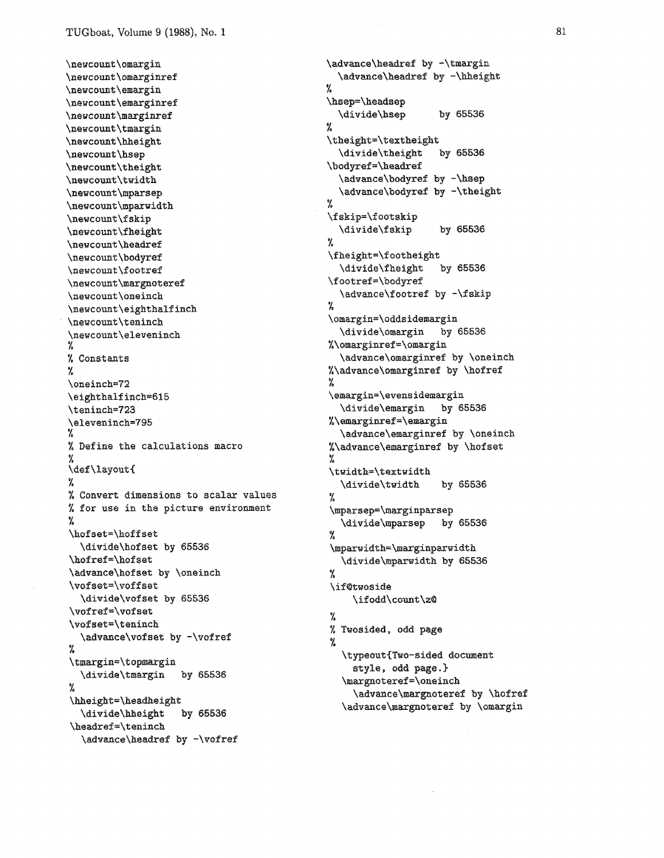\newcount\omargin \newcount\omarginref \newcount\emargin \newcount\emarginref \newcount\marginref \newcount\tmargin \newcount\hheight \newcount\hsep \newcount\theight \newcount\twidth \newcount\mparsep \newcount\mparwidth \newcount\fskip \newcount\fheight \newcount\headref \newcount\bodyref \newcount\footref \newcount\margnoteref \newcount\oneinch \newcount\eighthalfinch \newcount\teninch \newcount\eleveninch χ % Constants ٧. \oneinch=72 \eighthalfinch=615 \teninch=723 \eleveninch=795 % Define the calculations macro У. \def\layout{ % % Convert dimensions to scalar values % for use in the picture environment \hofset=\hoffset \divide\hofset by 65536 \hofref=\hofset \advance\hofset by \oneinch \vofset=\voffset \divide\vofset by 65536 \vofref=\vofset \vofset=\teninch \advance\vofset by -\vofref  $\frac{e_f}{f_a}$ \tmargin=\topmargin \divide\tmargin by 65536  $\frac{6}{2}$ \hheight=\headheight \divide\hheight by 65536 \headref=\teninch \advance\headref by -\vofref

\advance\headref by -\hheight  $\frac{M}{2}$ \hsep=\headsep \divide\hsep by 65536 L \theight=\textheight \divide\theight by 65536 \bodyref=\headref \advance\bodyref by -\hsep \advance\bodyref by -\theight Y. \fskip=\footskip \divide\fskip by 65536 % \fheight=\footheight \divide\fheight by 65536 \footref=\bodyref \advance\footref by -\fskip  $\frac{1}{6}$ \omargin=\oddsidemargin \divide\omargin by 65536 %\omarginref=\omargin \advance\omarginref by \oneinch %\advance\omarginref by \hofref % \emargin=\evensidemargin \divide\emargin by 65536 %\emarginref=\emargin \advance\emarginref by \oneinch %\advance\emarginref by \hofset  $\gamma$ \twidth=\textwidth \divide\twidth by 65536 ٧. \mparsep=\marginparsep \divide\mparsep by 65536 Y. \mparwidth=\marginparwidth \divide\mparwidth by 65536  $\gamma_{\rm e}$ \if@twoside \ifodd\count\z@ У. % Twosided, odd page % \typeout{Two-sided document style, odd page.} \margnoteref=\oneinch \advance\margnoteref by \hofref \advance\margnoteref by \omargin

\advance\headref by -\tmargin